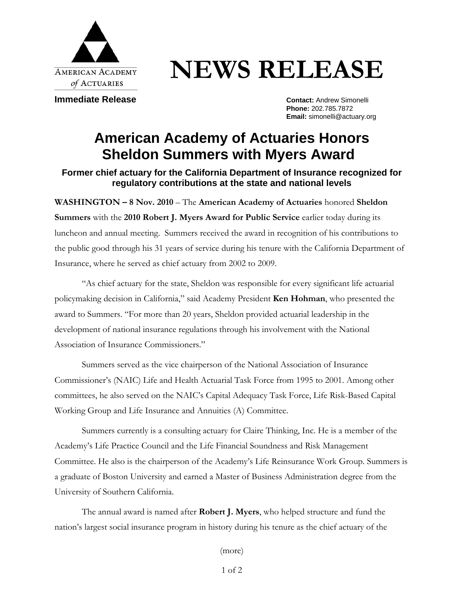

## **NEWS RELEASE**

**Immediate Release Contact: Andrew Simonelli** 

**Phone:** 202.785.7872 **Email:** simonelli@actuary.org

## **American Academy of Actuaries Honors Sheldon Summers with Myers Award**

## **Former chief actuary for the California Department of Insurance recognized for regulatory contributions at the state and national levels**

**WASHINGTON – 8 Nov. 2010** – The **American Academy of Actuaries** honored **Sheldon Summers** with the **2010 Robert J. Myers Award for Public Service** earlier today during its luncheon and annual meeting. Summers received the award in recognition of his contributions to the public good through his 31 years of service during his tenure with the California Department of Insurance, where he served as chief actuary from 2002 to 2009.

"As chief actuary for the state, Sheldon was responsible for every significant life actuarial policymaking decision in California," said Academy President **Ken Hohman**, who presented the award to Summers. "For more than 20 years, Sheldon provided actuarial leadership in the development of national insurance regulations through his involvement with the National Association of Insurance Commissioners."

Summers served as the vice chairperson of the National Association of Insurance Commissioner's (NAIC) Life and Health Actuarial Task Force from 1995 to 2001. Among other committees, he also served on the NAIC's Capital Adequacy Task Force, Life Risk-Based Capital Working Group and Life Insurance and Annuities (A) Committee.

Summers currently is a consulting actuary for Claire Thinking, Inc. He is a member of the Academy's Life Practice Council and the Life Financial Soundness and Risk Management Committee. He also is the chairperson of the Academy's Life Reinsurance Work Group. Summers is a graduate of Boston University and earned a Master of Business Administration degree from the University of Southern California.

The annual award is named after **Robert J. Myers**, who helped structure and fund the nation's largest social insurance program in history during his tenure as the chief actuary of the

(more)

1 of 2